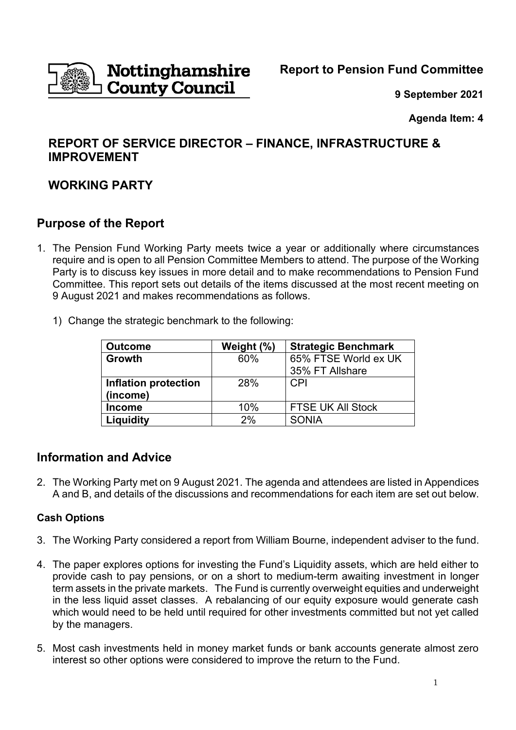

**9 September 2021**

**Agenda Item: 4**

# **REPORT OF SERVICE DIRECTOR – FINANCE, INFRASTRUCTURE & IMPROVEMENT**

# **WORKING PARTY**

# **Purpose of the Report**

- 1. The Pension Fund Working Party meets twice a year or additionally where circumstances require and is open to all Pension Committee Members to attend. The purpose of the Working Party is to discuss key issues in more detail and to make recommendations to Pension Fund Committee. This report sets out details of the items discussed at the most recent meeting on 9 August 2021 and makes recommendations as follows.
	- 1) Change the strategic benchmark to the following:

| <b>Outcome</b>       | Weight (%) | <b>Strategic Benchmark</b> |
|----------------------|------------|----------------------------|
| Growth               | 60%        | 65% FTSE World ex UK       |
|                      |            | 35% FT Allshare            |
| Inflation protection | 28%        | <b>CPI</b>                 |
| (income)             |            |                            |
| <b>Income</b>        | 10%        | <b>FTSE UK All Stock</b>   |
| Liquidity            | 2%         | <b>SONIA</b>               |

# **Information and Advice**

2. The Working Party met on 9 August 2021. The agenda and attendees are listed in Appendices A and B, and details of the discussions and recommendations for each item are set out below.

### **Cash Options**

- 3. The Working Party considered a report from William Bourne, independent adviser to the fund.
- 4. The paper explores options for investing the Fund's Liquidity assets, which are held either to provide cash to pay pensions, or on a short to medium-term awaiting investment in longer term assets in the private markets. The Fund is currently overweight equities and underweight in the less liquid asset classes. A rebalancing of our equity exposure would generate cash which would need to be held until required for other investments committed but not yet called by the managers.
- 5. Most cash investments held in money market funds or bank accounts generate almost zero interest so other options were considered to improve the return to the Fund.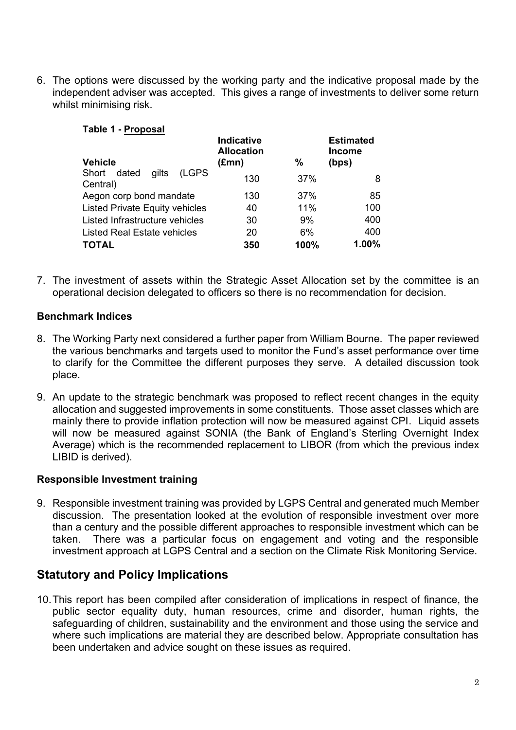6. The options were discussed by the working party and the indicative proposal made by the independent adviser was accepted. This gives a range of investments to deliver some return whilst minimising risk.

| 1 U.VIV 1<br>. . <i>.</i><br><b>Vehicle</b> | <b>Indicative</b><br><b>Allocation</b><br>$(\text{Emn})$ | %    | <b>Estimated</b><br><b>Income</b><br>(bps) |
|---------------------------------------------|----------------------------------------------------------|------|--------------------------------------------|
| (LGPS<br>Short dated<br>gilts<br>Central)   | 130                                                      | 37%  | 8                                          |
| Aegon corp bond mandate                     | 130                                                      | 37%  | 85                                         |
| <b>Listed Private Equity vehicles</b>       | 40                                                       | 11%  | 100                                        |
| Listed Infrastructure vehicles              | 30                                                       | 9%   | 400                                        |
| Listed Real Estate vehicles                 | 20                                                       | 6%   | 400                                        |
| <b>TOTAL</b>                                | 350                                                      | 100% | 1.00%                                      |

#### **Table 1 - Proposal**

7. The investment of assets within the Strategic Asset Allocation set by the committee is an operational decision delegated to officers so there is no recommendation for decision.

#### **Benchmark Indices**

- 8. The Working Party next considered a further paper from William Bourne. The paper reviewed the various benchmarks and targets used to monitor the Fund's asset performance over time to clarify for the Committee the different purposes they serve. A detailed discussion took place.
- 9. An update to the strategic benchmark was proposed to reflect recent changes in the equity allocation and suggested improvements in some constituents. Those asset classes which are mainly there to provide inflation protection will now be measured against CPI. Liquid assets will now be measured against SONIA (the Bank of England's Sterling Overnight Index Average) which is the recommended replacement to LIBOR (from which the previous index LIBID is derived).

#### **Responsible Investment training**

9. Responsible investment training was provided by LGPS Central and generated much Member discussion. The presentation looked at the evolution of responsible investment over more than a century and the possible different approaches to responsible investment which can be taken. There was a particular focus on engagement and voting and the responsible investment approach at LGPS Central and a section on the Climate Risk Monitoring Service.

# **Statutory and Policy Implications**

10.This report has been compiled after consideration of implications in respect of finance, the public sector equality duty, human resources, crime and disorder, human rights, the safeguarding of children, sustainability and the environment and those using the service and where such implications are material they are described below. Appropriate consultation has been undertaken and advice sought on these issues as required.